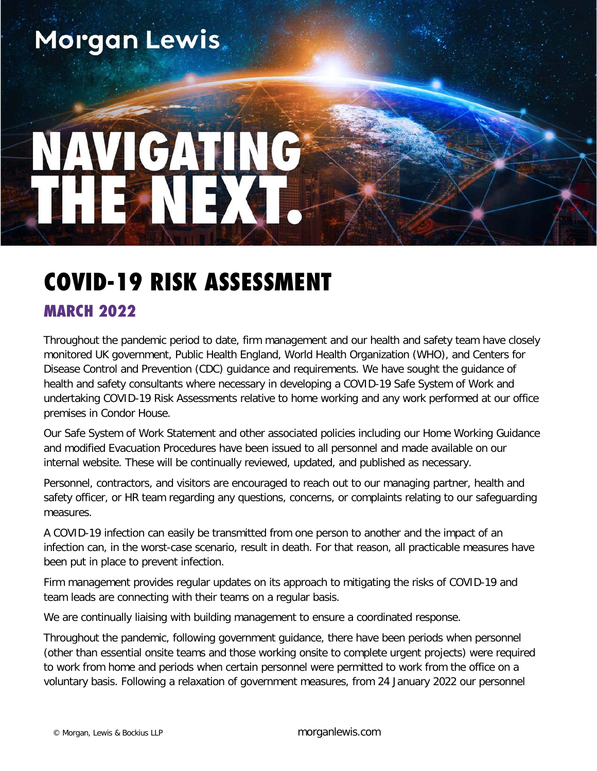# Morgan Lewis.

# COVID-19 RISK ASSESSMENT

### MARCH 2022

Throughout the pandemic period to date, firm management and our health and safety team have closely monitored UK government, Public Health England, World Health Organization (WHO), and Centers for Disease Control and Prevention (CDC) guidance and requirements. We have sought the guidance of health and safety consultants where necessary in developing a COVID-19 Safe System of Work and undertaking COVID-19 Risk Assessments relative to home working and any work performed at our office premises in Condor House.

Our Safe System of Work Statement and other associated policies including our Home Working Guidance and modified Evacuation Procedures have been issued to all personnel and made available on our internal website. These will be continually reviewed, updated, and published as necessary.

Personnel, contractors, and visitors are encouraged to reach out to our managing partner, health and safety officer, or HR team regarding any questions, concerns, or complaints relating to our safeguarding measures.

A COVID-19 infection can easily be transmitted from one person to another and the impact of an infection can, in the worst-case scenario, result in death. For that reason, all practicable measures have been put in place to prevent infection.

Firm management provides regular updates on its approach to mitigating the risks of COVID-19 and team leads are connecting with their teams on a regular basis.

We are continually liaising with building management to ensure a coordinated response.

Throughout the pandemic, following government guidance, there have been periods when personnel (other than essential onsite teams and those working onsite to complete urgent projects) were required to work from home and periods when certain personnel were permitted to work from the office on a voluntary basis. Following a relaxation of government measures, from 24 January 2022 our personnel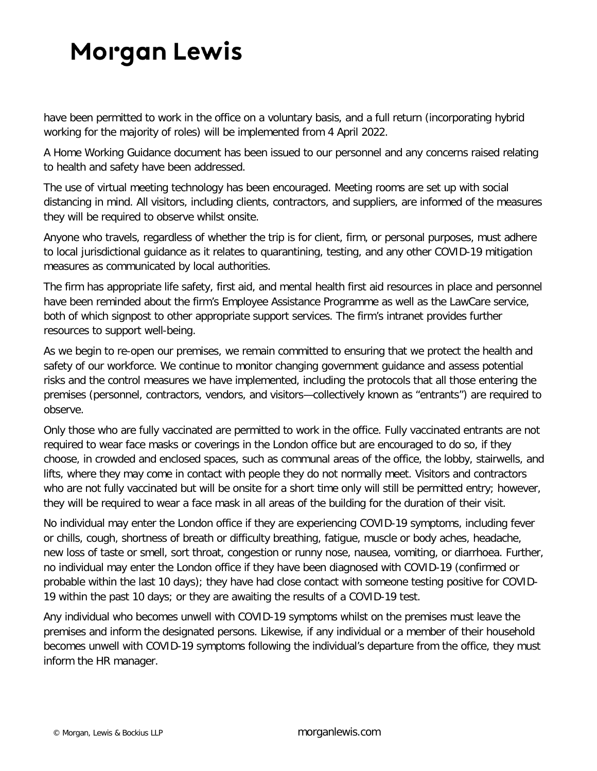## **Morgan Lewis**

have been permitted to work in the office on a voluntary basis, and a full return (incorporating hybrid working for the majority of roles) will be implemented from 4 April 2022.

A Home Working Guidance document has been issued to our personnel and any concerns raised relating to health and safety have been addressed.

The use of virtual meeting technology has been encouraged. Meeting rooms are set up with social distancing in mind. All visitors, including clients, contractors, and suppliers, are informed of the measures they will be required to observe whilst onsite.

Anyone who travels, regardless of whether the trip is for client, firm, or personal purposes, must adhere to local jurisdictional guidance as it relates to quarantining, testing, and any other COVID-19 mitigation measures as communicated by local authorities.

The firm has appropriate life safety, first aid, and mental health first aid resources in place and personnel have been reminded about the firm's Employee Assistance Programme as well as the LawCare service, both of which signpost to other appropriate support services. The firm's intranet provides further resources to support well-being.

As we begin to re-open our premises, we remain committed to ensuring that we protect the health and safety of our workforce. We continue to monitor changing government guidance and assess potential risks and the control measures we have implemented, including the protocols that all those entering the premises (personnel, contractors, vendors, and visitors—collectively known as "entrants") are required to observe.

Only those who are fully vaccinated are permitted to work in the office. Fully vaccinated entrants are not required to wear face masks or coverings in the London office but are encouraged to do so, if they choose, in crowded and enclosed spaces, such as communal areas of the office, the lobby, stairwells, and lifts, where they may come in contact with people they do not normally meet. Visitors and contractors who are not fully vaccinated but will be onsite for a short time only will still be permitted entry; however, they will be required to wear a face mask in all areas of the building for the duration of their visit.

No individual may enter the London office if they are experiencing COVID-19 symptoms, including fever or chills, cough, shortness of breath or difficulty breathing, fatigue, muscle or body aches, headache, new loss of taste or smell, sort throat, congestion or runny nose, nausea, vomiting, or diarrhoea. Further, no individual may enter the London office if they have been diagnosed with COVID-19 (confirmed or probable within the last 10 days); they have had close contact with someone testing positive for COVID-19 within the past 10 days; or they are awaiting the results of a COVID-19 test.

Any individual who becomes unwell with COVID-19 symptoms whilst on the premises must leave the premises and inform the designated persons. Likewise, if any individual or a member of their household becomes unwell with COVID-19 symptoms following the individual's departure from the office, they must inform the HR manager.